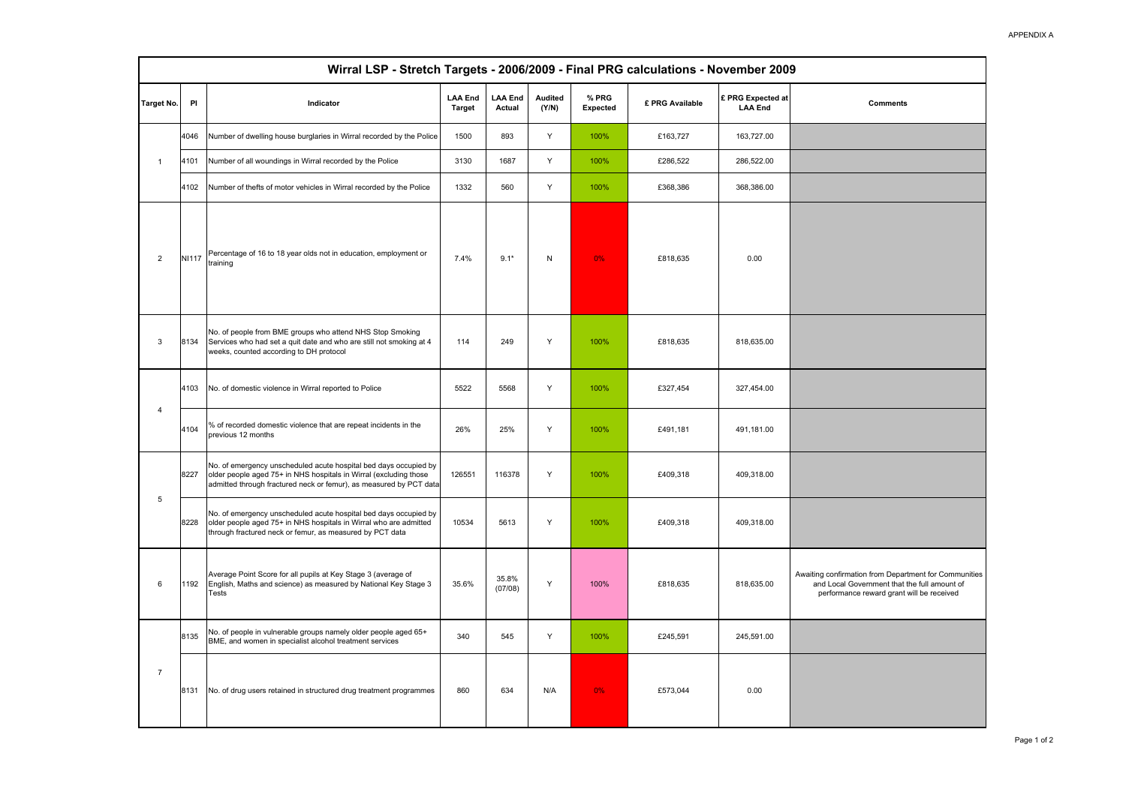| Wirral LSP - Stretch Targets - 2006/2009 - Final PRG calculations - November 2009 |              |                                                                                                                                                                                                             |                                 |                          |                         |                   |                 |                                     |                                                                                                                                                    |
|-----------------------------------------------------------------------------------|--------------|-------------------------------------------------------------------------------------------------------------------------------------------------------------------------------------------------------------|---------------------------------|--------------------------|-------------------------|-------------------|-----------------|-------------------------------------|----------------------------------------------------------------------------------------------------------------------------------------------------|
| Target No.                                                                        | PI           | Indicator                                                                                                                                                                                                   | <b>LAA End</b><br><b>Target</b> | <b>LAA End</b><br>Actual | <b>Audited</b><br>(Y/N) | % PRG<br>Expected | £ PRG Available | £ PRG Expected at<br><b>LAA End</b> | <b>Comments</b>                                                                                                                                    |
| $\overline{1}$                                                                    | 4046         | Number of dwelling house burglaries in Wirral recorded by the Police                                                                                                                                        | 1500                            | 893                      | Y                       | 100%              | £163,727        | 163,727.00                          |                                                                                                                                                    |
|                                                                                   | 4101         | Number of all woundings in Wirral recorded by the Police                                                                                                                                                    | 3130                            | 1687                     | Y                       | 100%              | £286,522        | 286,522.00                          |                                                                                                                                                    |
|                                                                                   | 4102         | Number of thefts of motor vehicles in Wirral recorded by the Police                                                                                                                                         | 1332                            | 560                      | Y                       | 100%              | £368,386        | 368,386.00                          |                                                                                                                                                    |
| $\overline{2}$                                                                    | <b>NI117</b> | Percentage of 16 to 18 year olds not in education, employment or<br>training                                                                                                                                | 7.4%                            | $9.1*$                   | N                       | 0%                | £818,635        | 0.00                                |                                                                                                                                                    |
| $\mathbf{3}$                                                                      | 8134         | No. of people from BME groups who attend NHS Stop Smoking<br>Services who had set a quit date and who are still not smoking at 4<br>weeks, counted according to DH protocol                                 | 114                             | 249                      | Υ                       | 100%              | £818,635        | 818,635.00                          |                                                                                                                                                    |
| $\overline{4}$                                                                    | 4103         | No. of domestic violence in Wirral reported to Police                                                                                                                                                       | 5522                            | 5568                     | Y                       | 100%              | £327,454        | 327,454.00                          |                                                                                                                                                    |
|                                                                                   | 4104         | % of recorded domestic violence that are repeat incidents in the<br>previous 12 months                                                                                                                      | 26%                             | 25%                      | Y                       | 100%              | £491,181        | 491,181.00                          |                                                                                                                                                    |
| $\sqrt{5}$                                                                        | 8227         | No. of emergency unscheduled acute hospital bed days occupied by<br>older people aged 75+ in NHS hospitals in Wirral (excluding those<br>admitted through fractured neck or femur), as measured by PCT data | 126551                          | 116378                   | Υ                       | 100%              | £409,318        | 409,318.00                          |                                                                                                                                                    |
|                                                                                   | 8228         | No. of emergency unscheduled acute hospital bed days occupied by<br>older people aged 75+ in NHS hospitals in Wirral who are admitted<br>through fractured neck or femur, as measured by PCT data           | 10534                           | 5613                     | Υ                       | 100%              | £409,318        | 409,318.00                          |                                                                                                                                                    |
| 6                                                                                 | 1192         | Average Point Score for all pupils at Key Stage 3 (average of<br>English, Maths and science) as measured by National Key Stage 3<br>Tests                                                                   | 35.6%                           | 35.8%<br>(07/08)         | Y                       | 100%              | £818.635        | 818.635.00                          | Awaiting confirmation from Department for Communities<br>and Local Government that the full amount of<br>performance reward grant will be received |
| $\overline{7}$                                                                    | 8135         | No. of people in vulnerable groups namely older people aged 65+<br>BME, and women in specialist alcohol treatment services                                                                                  | 340                             | 545                      | Y                       | 100%              | £245,591        | 245,591.00                          |                                                                                                                                                    |
|                                                                                   | 8131         | No. of drug users retained in structured drug treatment programmes                                                                                                                                          | 860                             | 634                      | N/A                     | 0%                | £573,044        | 0.00                                |                                                                                                                                                    |